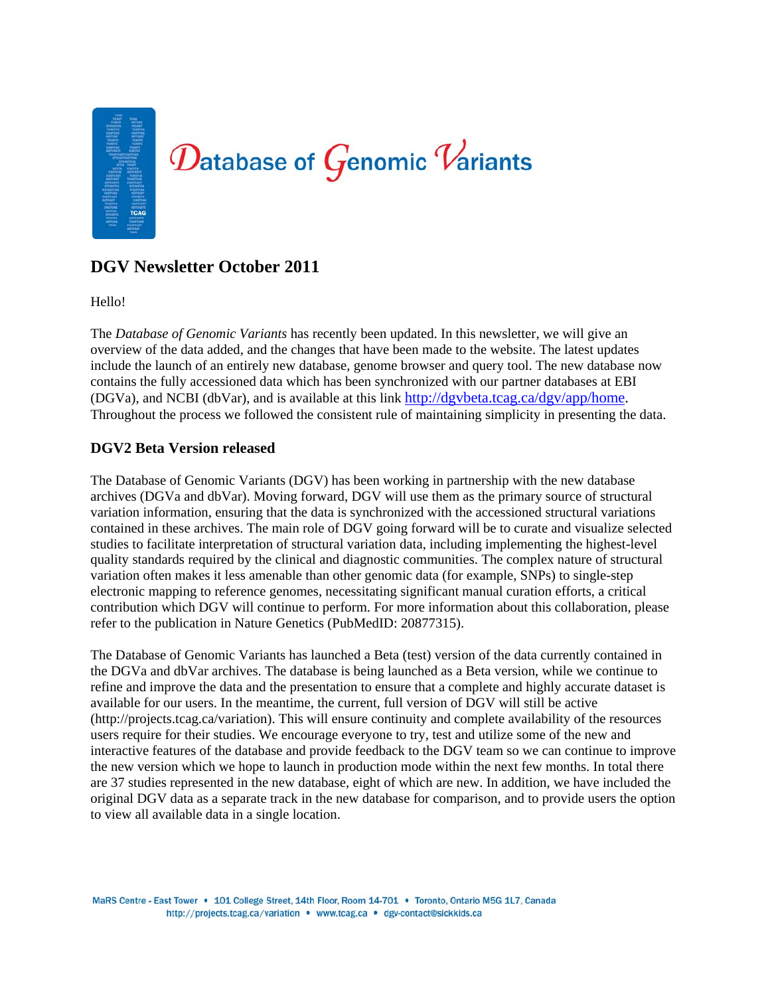# $\mathcal D$ atabase of  $\mathcal G$ enomic  $\mathcal V$ ariants

# **DGV Newsletter October 2011**

Hello!

The *Database of Genomic Variants* has recently been updated. In this newsletter, we will give an overview of the data added, and the changes that have been made to the website. The latest updates include the launch of an entirely new database, genome browser and query tool. The new database now contains the fully accessioned data which has been synchronized with our partner databases at EBI (DGVa), and NCBI (dbVar), and is available at this link http://dgvbeta.tcag.ca/dgv/app/home. Throughout the process we followed the consistent rule of maintaining simplicity in presenting the data.

# **DGV2 Beta Version released**

The Database of Genomic Variants (DGV) has been working in partnership with the new database archives (DGVa and dbVar). Moving forward, DGV will use them as the primary source of structural variation information, ensuring that the data is synchronized with the accessioned structural variations contained in these archives. The main role of DGV going forward will be to curate and visualize selected studies to facilitate interpretation of structural variation data, including implementing the highest-level quality standards required by the clinical and diagnostic communities. The complex nature of structural variation often makes it less amenable than other genomic data (for example, SNPs) to single-step electronic mapping to reference genomes, necessitating significant manual curation efforts, a critical contribution which DGV will continue to perform. For more information about this collaboration, please refer to the publication in Nature Genetics (PubMedID: 20877315).

The Database of Genomic Variants has launched a Beta (test) version of the data currently contained in the DGVa and dbVar archives. The database is being launched as a Beta version, while we continue to refine and improve the data and the presentation to ensure that a complete and highly accurate dataset is available for our users. In the meantime, the current, full version of DGV will still be active (http://projects.tcag.ca/variation). This will ensure continuity and complete availability of the resources users require for their studies. We encourage everyone to try, test and utilize some of the new and interactive features of the database and provide feedback to the DGV team so we can continue to improve the new version which we hope to launch in production mode within the next few months. In total there are 37 studies represented in the new database, eight of which are new. In addition, we have included the original DGV data as a separate track in the new database for comparison, and to provide users the option to view all available data in a single location.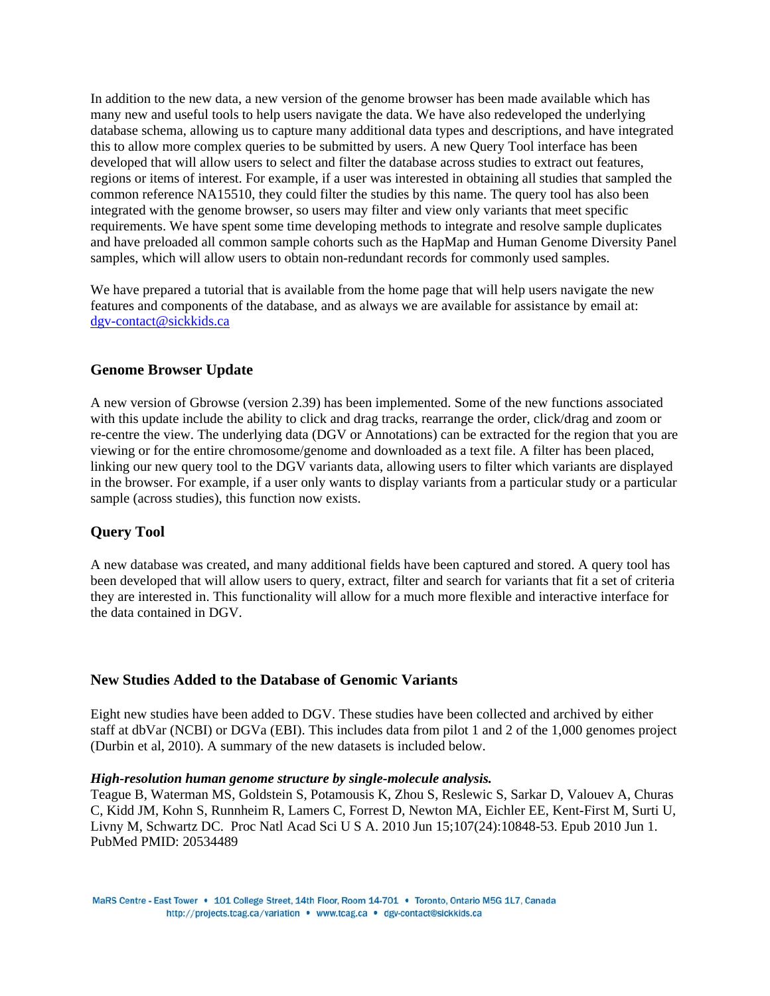In addition to the new data, a new version of the genome browser has been made available which has many new and useful tools to help users navigate the data. We have also redeveloped the underlying database schema, allowing us to capture many additional data types and descriptions, and have integrated this to allow more complex queries to be submitted by users. A new Query Tool interface has been developed that will allow users to select and filter the database across studies to extract out features, regions or items of interest. For example, if a user was interested in obtaining all studies that sampled the common reference NA15510, they could filter the studies by this name. The query tool has also been integrated with the genome browser, so users may filter and view only variants that meet specific requirements. We have spent some time developing methods to integrate and resolve sample duplicates and have preloaded all common sample cohorts such as the HapMap and Human Genome Diversity Panel samples, which will allow users to obtain non-redundant records for commonly used samples.

We have prepared a tutorial that is available from the home page that will help users navigate the new features and components of the database, and as always we are available for assistance by email at: dgv-contact@sickkids.ca

# **Genome Browser Update**

A new version of Gbrowse (version 2.39) has been implemented. Some of the new functions associated with this update include the ability to click and drag tracks, rearrange the order, click/drag and zoom or re-centre the view. The underlying data (DGV or Annotations) can be extracted for the region that you are viewing or for the entire chromosome/genome and downloaded as a text file. A filter has been placed, linking our new query tool to the DGV variants data, allowing users to filter which variants are displayed in the browser. For example, if a user only wants to display variants from a particular study or a particular sample (across studies), this function now exists.

# **Query Tool**

A new database was created, and many additional fields have been captured and stored. A query tool has been developed that will allow users to query, extract, filter and search for variants that fit a set of criteria they are interested in. This functionality will allow for a much more flexible and interactive interface for the data contained in DGV.

## **New Studies Added to the Database of Genomic Variants**

Eight new studies have been added to DGV. These studies have been collected and archived by either staff at dbVar (NCBI) or DGVa (EBI). This includes data from pilot 1 and 2 of the 1,000 genomes project (Durbin et al, 2010). A summary of the new datasets is included below.

#### *High-resolution human genome structure by single-molecule analysis.*

Teague B, Waterman MS, Goldstein S, Potamousis K, Zhou S, Reslewic S, Sarkar D, Valouev A, Churas C, Kidd JM, Kohn S, Runnheim R, Lamers C, Forrest D, Newton MA, Eichler EE, Kent-First M, Surti U, Livny M, Schwartz DC. Proc Natl Acad Sci U S A. 2010 Jun 15;107(24):10848-53. Epub 2010 Jun 1. PubMed PMID: 20534489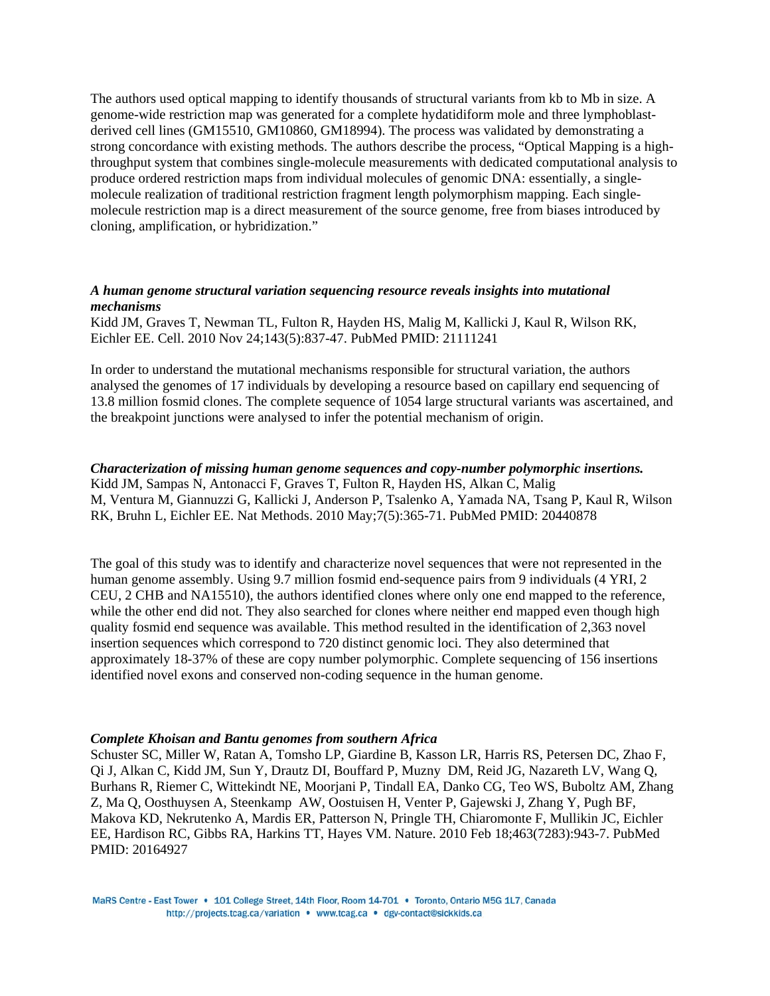The authors used optical mapping to identify thousands of structural variants from kb to Mb in size. A genome-wide restriction map was generated for a complete hydatidiform mole and three lymphoblastderived cell lines (GM15510, GM10860, GM18994). The process was validated by demonstrating a strong concordance with existing methods. The authors describe the process, "Optical Mapping is a highthroughput system that combines single-molecule measurements with dedicated computational analysis to produce ordered restriction maps from individual molecules of genomic DNA: essentially, a singlemolecule realization of traditional restriction fragment length polymorphism mapping. Each singlemolecule restriction map is a direct measurement of the source genome, free from biases introduced by cloning, amplification, or hybridization."

# *A human genome structural variation sequencing resource reveals insights into mutational mechanisms*

Kidd JM, Graves T, Newman TL, Fulton R, Hayden HS, Malig M, Kallicki J, Kaul R, Wilson RK, Eichler EE. Cell. 2010 Nov 24;143(5):837-47. PubMed PMID: 21111241

In order to understand the mutational mechanisms responsible for structural variation, the authors analysed the genomes of 17 individuals by developing a resource based on capillary end sequencing of 13.8 million fosmid clones. The complete sequence of 1054 large structural variants was ascertained, and the breakpoint junctions were analysed to infer the potential mechanism of origin.

## *Characterization of missing human genome sequences and copy-number polymorphic insertions.*

Kidd JM, Sampas N, Antonacci F, Graves T, Fulton R, Hayden HS, Alkan C, Malig M, Ventura M, Giannuzzi G, Kallicki J, Anderson P, Tsalenko A, Yamada NA, Tsang P, Kaul R, Wilson RK, Bruhn L, Eichler EE. Nat Methods. 2010 May;7(5):365-71. PubMed PMID: 20440878

The goal of this study was to identify and characterize novel sequences that were not represented in the human genome assembly. Using 9.7 million fosmid end-sequence pairs from 9 individuals (4 YRI, 2 CEU, 2 CHB and NA15510), the authors identified clones where only one end mapped to the reference, while the other end did not. They also searched for clones where neither end mapped even though high quality fosmid end sequence was available. This method resulted in the identification of 2,363 novel insertion sequences which correspond to 720 distinct genomic loci. They also determined that approximately 18-37% of these are copy number polymorphic. Complete sequencing of 156 insertions identified novel exons and conserved non-coding sequence in the human genome.

#### *Complete Khoisan and Bantu genomes from southern Africa*

Schuster SC, Miller W, Ratan A, Tomsho LP, Giardine B, Kasson LR, Harris RS, Petersen DC, Zhao F, Qi J, Alkan C, Kidd JM, Sun Y, Drautz DI, Bouffard P, Muzny DM, Reid JG, Nazareth LV, Wang Q, Burhans R, Riemer C, Wittekindt NE, Moorjani P, Tindall EA, Danko CG, Teo WS, Buboltz AM, Zhang Z, Ma Q, Oosthuysen A, Steenkamp AW, Oostuisen H, Venter P, Gajewski J, Zhang Y, Pugh BF, Makova KD, Nekrutenko A, Mardis ER, Patterson N, Pringle TH, Chiaromonte F, Mullikin JC, Eichler EE, Hardison RC, Gibbs RA, Harkins TT, Hayes VM. Nature. 2010 Feb 18;463(7283):943-7. PubMed PMID: 20164927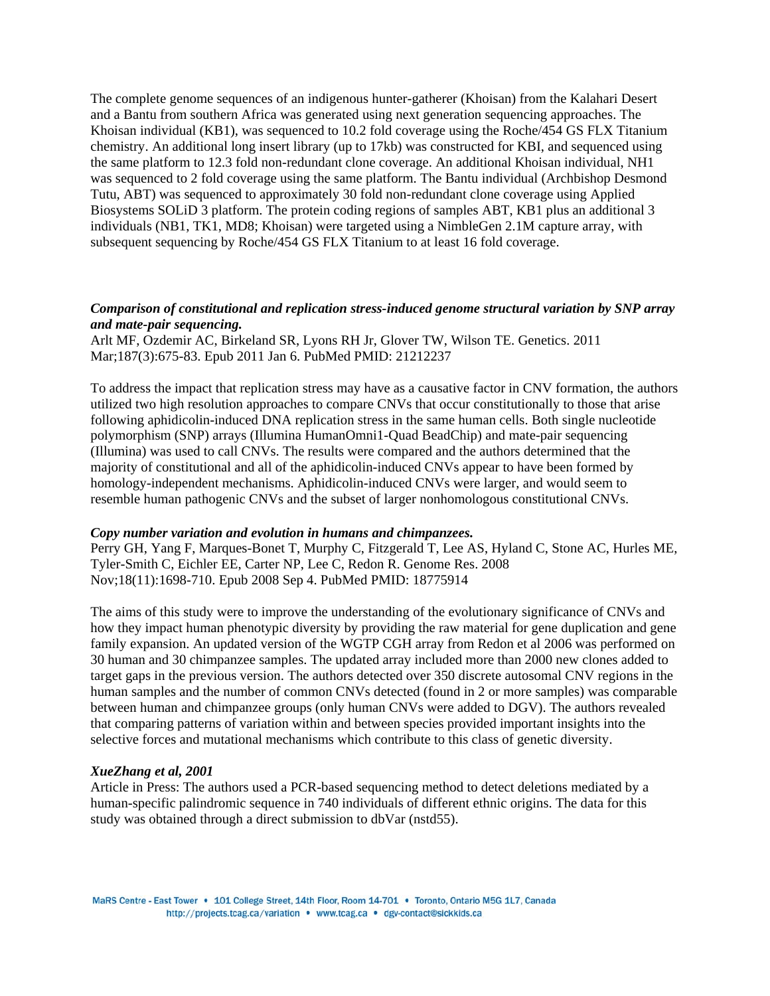The complete genome sequences of an indigenous hunter-gatherer (Khoisan) from the Kalahari Desert and a Bantu from southern Africa was generated using next generation sequencing approaches. The Khoisan individual (KB1), was sequenced to 10.2 fold coverage using the Roche/454 GS FLX Titanium chemistry. An additional long insert library (up to 17kb) was constructed for KBI, and sequenced using the same platform to 12.3 fold non-redundant clone coverage. An additional Khoisan individual, NH1 was sequenced to 2 fold coverage using the same platform. The Bantu individual (Archbishop Desmond Tutu, ABT) was sequenced to approximately 30 fold non-redundant clone coverage using Applied Biosystems SOLiD 3 platform. The protein coding regions of samples ABT, KB1 plus an additional 3 individuals (NB1, TK1, MD8; Khoisan) were targeted using a NimbleGen 2.1M capture array, with subsequent sequencing by Roche/454 GS FLX Titanium to at least 16 fold coverage.

# *Comparison of constitutional and replication stress-induced genome structural variation by SNP array and mate-pair sequencing.*

Arlt MF, Ozdemir AC, Birkeland SR, Lyons RH Jr, Glover TW, Wilson TE. Genetics. 2011 Mar;187(3):675-83. Epub 2011 Jan 6. PubMed PMID: 21212237

To address the impact that replication stress may have as a causative factor in CNV formation, the authors utilized two high resolution approaches to compare CNVs that occur constitutionally to those that arise following aphidicolin-induced DNA replication stress in the same human cells. Both single nucleotide polymorphism (SNP) arrays (Illumina HumanOmni1-Quad BeadChip) and mate-pair sequencing (Illumina) was used to call CNVs. The results were compared and the authors determined that the majority of constitutional and all of the aphidicolin-induced CNVs appear to have been formed by homology-independent mechanisms. Aphidicolin-induced CNVs were larger, and would seem to resemble human pathogenic CNVs and the subset of larger nonhomologous constitutional CNVs.

### *Copy number variation and evolution in humans and chimpanzees.*

Perry GH, Yang F, Marques-Bonet T, Murphy C, Fitzgerald T, Lee AS, Hyland C, Stone AC, Hurles ME, Tyler-Smith C, Eichler EE, Carter NP, Lee C, Redon R. Genome Res. 2008 Nov;18(11):1698-710. Epub 2008 Sep 4. PubMed PMID: 18775914

The aims of this study were to improve the understanding of the evolutionary significance of CNVs and how they impact human phenotypic diversity by providing the raw material for gene duplication and gene family expansion. An updated version of the WGTP CGH array from Redon et al 2006 was performed on 30 human and 30 chimpanzee samples. The updated array included more than 2000 new clones added to target gaps in the previous version. The authors detected over 350 discrete autosomal CNV regions in the human samples and the number of common CNVs detected (found in 2 or more samples) was comparable between human and chimpanzee groups (only human CNVs were added to DGV). The authors revealed that comparing patterns of variation within and between species provided important insights into the selective forces and mutational mechanisms which contribute to this class of genetic diversity.

#### *XueZhang et al, 2001*

Article in Press: The authors used a PCR-based sequencing method to detect deletions mediated by a human-specific palindromic sequence in 740 individuals of different ethnic origins. The data for this study was obtained through a direct submission to dbVar (nstd55).